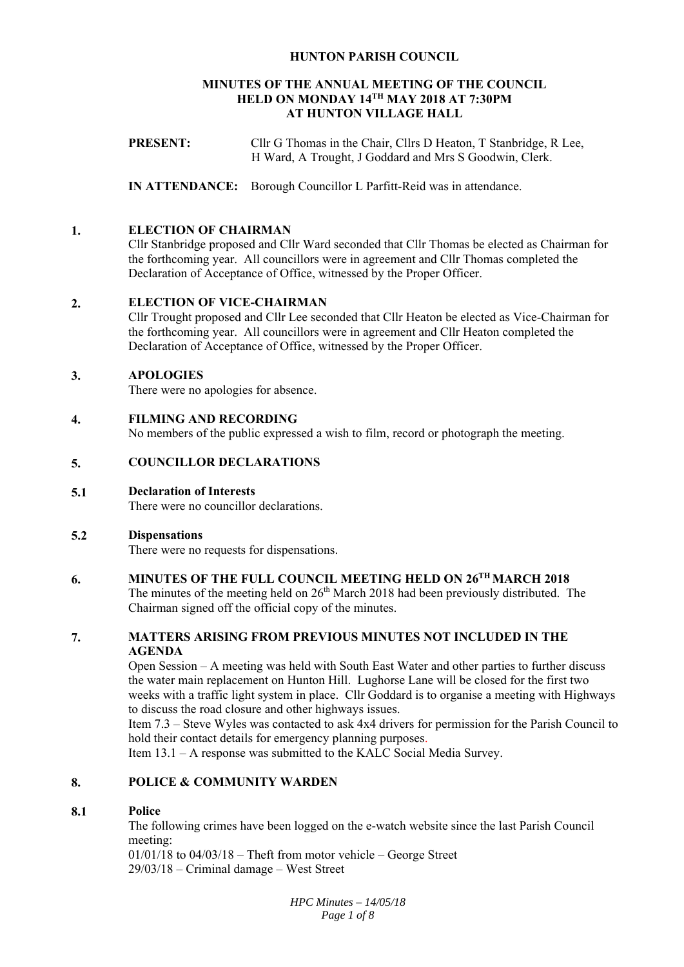# **HUNTON PARISH COUNCIL**

# **MINUTES OF THE ANNUAL MEETING OF THE COUNCIL HELD ON MONDAY 14TH MAY 2018 AT 7:30PM AT HUNTON VILLAGE HALL**

**PRESENT:** Cllr G Thomas in the Chair, Cllrs D Heaton, T Stanbridge, R Lee, H Ward, A Trought, J Goddard and Mrs S Goodwin, Clerk.

**IN ATTENDANCE:** Borough Councillor L Parfitt-Reid was in attendance.

#### **1. ELECTION OF CHAIRMAN**

Cllr Stanbridge proposed and Cllr Ward seconded that Cllr Thomas be elected as Chairman for the forthcoming year. All councillors were in agreement and Cllr Thomas completed the Declaration of Acceptance of Office, witnessed by the Proper Officer.

#### **2. ELECTION OF VICE-CHAIRMAN**

Cllr Trought proposed and Cllr Lee seconded that Cllr Heaton be elected as Vice-Chairman for the forthcoming year. All councillors were in agreement and Cllr Heaton completed the Declaration of Acceptance of Office, witnessed by the Proper Officer.

#### **3. APOLOGIES**

There were no apologies for absence.

#### **4. FILMING AND RECORDING**

No members of the public expressed a wish to film, record or photograph the meeting.

# **5. COUNCILLOR DECLARATIONS**

**5.1 Declaration of Interests** 

There were no councillor declarations.

#### **5.2 Dispensations**

There were no requests for dispensations.

# **6. MINUTES OF THE FULL COUNCIL MEETING HELD ON 26TH MARCH 2018**

The minutes of the meeting held on  $26<sup>th</sup>$  March 2018 had been previously distributed. The Chairman signed off the official copy of the minutes.

# **7. MATTERS ARISING FROM PREVIOUS MINUTES NOT INCLUDED IN THE AGENDA**

Open Session – A meeting was held with South East Water and other parties to further discuss the water main replacement on Hunton Hill. Lughorse Lane will be closed for the first two weeks with a traffic light system in place. Cllr Goddard is to organise a meeting with Highways to discuss the road closure and other highways issues.

Item 7.3 – Steve Wyles was contacted to ask 4x4 drivers for permission for the Parish Council to hold their contact details for emergency planning purposes.

Item 13.1 – A response was submitted to the KALC Social Media Survey.

#### **8. POLICE & COMMUNITY WARDEN**

#### **8.1 Police**

The following crimes have been logged on the e-watch website since the last Parish Council meeting:

01/01/18 to 04/03/18 – Theft from motor vehicle – George Street 29/03/18 – Criminal damage – West Street

> *HPC Minutes – 14/05/18 Page 1 of 8*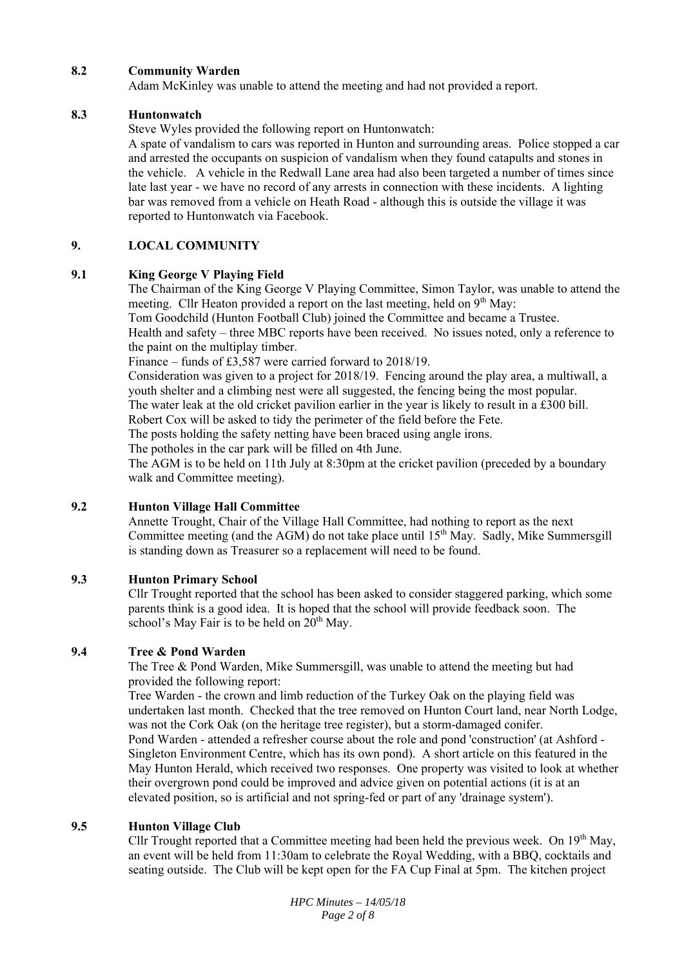#### **8.2 Community Warden**

Adam McKinley was unable to attend the meeting and had not provided a report.

#### **8.3 Huntonwatch**

Steve Wyles provided the following report on Huntonwatch:

A spate of vandalism to cars was reported in Hunton and surrounding areas. Police stopped a car and arrested the occupants on suspicion of vandalism when they found catapults and stones in the vehicle. A vehicle in the Redwall Lane area had also been targeted a number of times since late last year - we have no record of any arrests in connection with these incidents. A lighting bar was removed from a vehicle on Heath Road - although this is outside the village it was reported to Huntonwatch via Facebook.

#### **9. LOCAL COMMUNITY**

#### **9.1 King George V Playing Field**

The Chairman of the King George V Playing Committee, Simon Taylor, was unable to attend the meeting. Cllr Heaton provided a report on the last meeting, held on  $9<sup>th</sup>$  May: Tom Goodchild (Hunton Football Club) joined the Committee and became a Trustee. Health and safety – three MBC reports have been received. No issues noted, only a reference to the paint on the multiplay timber.

Finance – funds of £3,587 were carried forward to 2018/19.

Consideration was given to a project for 2018/19. Fencing around the play area, a multiwall, a youth shelter and a climbing nest were all suggested, the fencing being the most popular. The water leak at the old cricket pavilion earlier in the year is likely to result in a £300 bill.

Robert Cox will be asked to tidy the perimeter of the field before the Fete. The posts holding the safety netting have been braced using angle irons.

The potholes in the car park will be filled on 4th June.

The AGM is to be held on 11th July at 8:30pm at the cricket pavilion (preceded by a boundary walk and Committee meeting).

#### **9.2 Hunton Village Hall Committee**

Annette Trought, Chair of the Village Hall Committee, had nothing to report as the next Committee meeting (and the AGM) do not take place until  $15<sup>th</sup>$  May. Sadly, Mike Summersgill is standing down as Treasurer so a replacement will need to be found.

#### **9.3 Hunton Primary School**

Cllr Trought reported that the school has been asked to consider staggered parking, which some parents think is a good idea. It is hoped that the school will provide feedback soon. The school's May Fair is to be held on  $20^{th}$  May.

#### **9.4 Tree & Pond Warden**

The Tree & Pond Warden, Mike Summersgill, was unable to attend the meeting but had provided the following report:

Tree Warden - the crown and limb reduction of the Turkey Oak on the playing field was undertaken last month. Checked that the tree removed on Hunton Court land, near North Lodge, was not the Cork Oak (on the heritage tree register), but a storm-damaged conifer. Pond Warden - attended a refresher course about the role and pond 'construction' (at Ashford - Singleton Environment Centre, which has its own pond). A short article on this featured in the May Hunton Herald, which received two responses. One property was visited to look at whether their overgrown pond could be improved and advice given on potential actions (it is at an elevated position, so is artificial and not spring-fed or part of any 'drainage system').

#### **9.5 Hunton Village Club**

Cllr Trought reported that a Committee meeting had been held the previous week. On  $19<sup>th</sup>$  May, an event will be held from 11:30am to celebrate the Royal Wedding, with a BBQ, cocktails and seating outside. The Club will be kept open for the FA Cup Final at 5pm. The kitchen project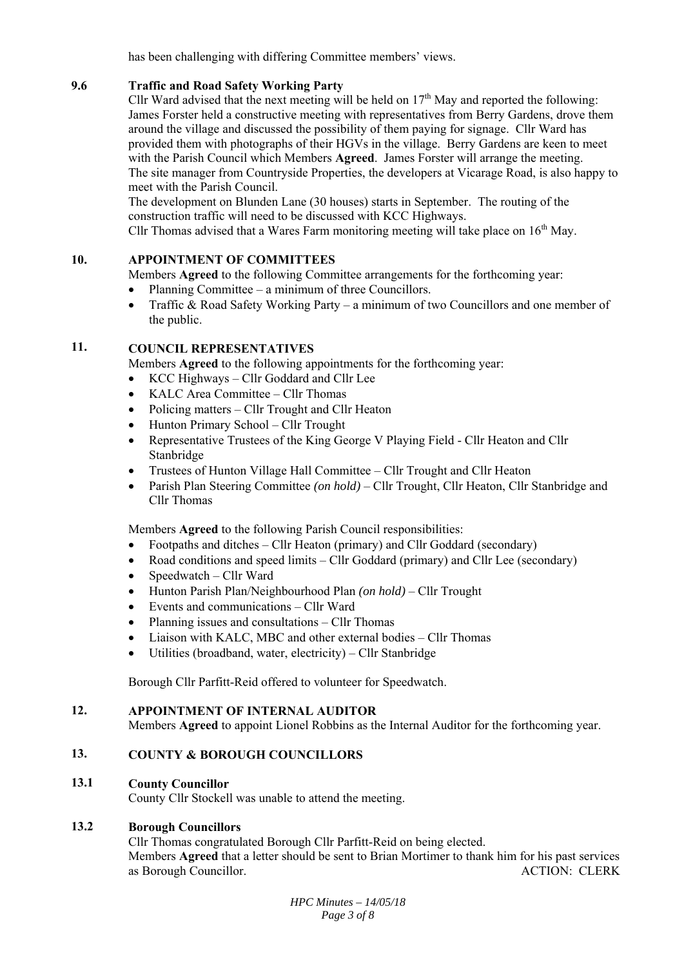has been challenging with differing Committee members' views.

#### **9.6 Traffic and Road Safety Working Party**

Cllr Ward advised that the next meeting will be held on  $17<sup>th</sup>$  May and reported the following: James Forster held a constructive meeting with representatives from Berry Gardens, drove them around the village and discussed the possibility of them paying for signage. Cllr Ward has provided them with photographs of their HGVs in the village. Berry Gardens are keen to meet with the Parish Council which Members **Agreed**. James Forster will arrange the meeting. The site manager from Countryside Properties, the developers at Vicarage Road, is also happy to meet with the Parish Council.

The development on Blunden Lane (30 houses) starts in September. The routing of the construction traffic will need to be discussed with KCC Highways.

Cllr Thomas advised that a Wares Farm monitoring meeting will take place on  $16<sup>th</sup>$  May.

# **10. APPOINTMENT OF COMMITTEES**

Members **Agreed** to the following Committee arrangements for the forthcoming year:

- Planning Committee a minimum of three Councillors.
- Traffic & Road Safety Working Party a minimum of two Councillors and one member of the public.

# **11. COUNCIL REPRESENTATIVES**

Members **Agreed** to the following appointments for the forthcoming year:

- KCC Highways Cllr Goddard and Cllr Lee
- KALC Area Committee Cllr Thomas
- Policing matters Cllr Trought and Cllr Heaton
- Hunton Primary School Cllr Trought
- Representative Trustees of the King George V Playing Field Cllr Heaton and Cllr Stanbridge
- Trustees of Hunton Village Hall Committee Cllr Trought and Cllr Heaton
- Parish Plan Steering Committee *(on hold)*  Cllr Trought, Cllr Heaton, Cllr Stanbridge and Cllr Thomas

Members **Agreed** to the following Parish Council responsibilities:

- Footpaths and ditches Cllr Heaton (primary) and Cllr Goddard (secondary)
- Road conditions and speed limits Cllr Goddard (primary) and Cllr Lee (secondary)
- Speedwatch Cllr Ward
- Hunton Parish Plan/Neighbourhood Plan *(on hold)* Cllr Trought
- Events and communications Cllr Ward
- Planning issues and consultations Cllr Thomas
- Liaison with KALC, MBC and other external bodies Cllr Thomas
- Utilities (broadband, water, electricity) Cllr Stanbridge

Borough Cllr Parfitt-Reid offered to volunteer for Speedwatch.

#### **12. APPOINTMENT OF INTERNAL AUDITOR**

Members **Agreed** to appoint Lionel Robbins as the Internal Auditor for the forthcoming year.

# **13. COUNTY & BOROUGH COUNCILLORS**

#### **13.1 County Councillor**

County Cllr Stockell was unable to attend the meeting.

#### **13.2 Borough Councillors**

Cllr Thomas congratulated Borough Cllr Parfitt-Reid on being elected. Members **Agreed** that a letter should be sent to Brian Mortimer to thank him for his past services as Borough Councillor. ACTION: CLERK

> *HPC Minutes – 14/05/18 Page 3 of 8*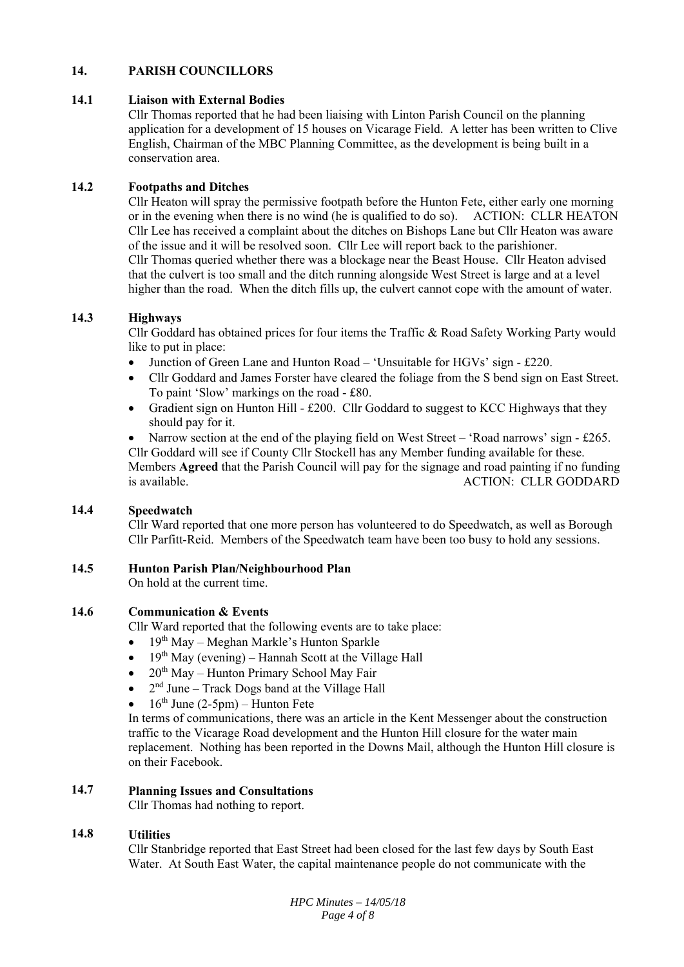### **14. PARISH COUNCILLORS**

#### **14.1 Liaison with External Bodies**

Cllr Thomas reported that he had been liaising with Linton Parish Council on the planning application for a development of 15 houses on Vicarage Field. A letter has been written to Clive English, Chairman of the MBC Planning Committee, as the development is being built in a conservation area.

#### **14.2 Footpaths and Ditches**

Cllr Heaton will spray the permissive footpath before the Hunton Fete, either early one morning or in the evening when there is no wind (he is qualified to do so). ACTION: CLLR HEATON Cllr Lee has received a complaint about the ditches on Bishops Lane but Cllr Heaton was aware of the issue and it will be resolved soon. Cllr Lee will report back to the parishioner. Cllr Thomas queried whether there was a blockage near the Beast House. Cllr Heaton advised that the culvert is too small and the ditch running alongside West Street is large and at a level higher than the road. When the ditch fills up, the culvert cannot cope with the amount of water.

#### **14.3 Highways**

Cllr Goddard has obtained prices for four items the Traffic & Road Safety Working Party would like to put in place:

- Junction of Green Lane and Hunton Road 'Unsuitable for HGVs' sign £220.
- Cllr Goddard and James Forster have cleared the foliage from the S bend sign on East Street. To paint 'Slow' markings on the road - £80.
- Gradient sign on Hunton Hill £200. Cllr Goddard to suggest to KCC Highways that they should pay for it.

Narrow section at the end of the playing field on West Street – 'Road narrows' sign - £265. Cllr Goddard will see if County Cllr Stockell has any Member funding available for these. Members **Agreed** that the Parish Council will pay for the signage and road painting if no funding is available. ACTION: CLLR GODDARD

#### **14.4 Speedwatch**

Cllr Ward reported that one more person has volunteered to do Speedwatch, as well as Borough Cllr Parfitt-Reid. Members of the Speedwatch team have been too busy to hold any sessions.

# **14.5 Hunton Parish Plan/Neighbourhood Plan**

On hold at the current time.

## **14.6 Communication & Events**

Cllr Ward reported that the following events are to take place:

- 19th May Meghan Markle's Hunton Sparkle
- $19<sup>th</sup>$  May (evening) Hannah Scott at the Village Hall
- $20<sup>th</sup>$  May Hunton Primary School May Fair
- $2<sup>nd</sup>$  June Track Dogs band at the Village Hall
- $\bullet$  16<sup>th</sup> June (2-5pm) Hunton Fete

In terms of communications, there was an article in the Kent Messenger about the construction traffic to the Vicarage Road development and the Hunton Hill closure for the water main replacement. Nothing has been reported in the Downs Mail, although the Hunton Hill closure is on their Facebook.

#### **14.7 Planning Issues and Consultations**

Cllr Thomas had nothing to report.

#### **14.8 Utilities**

Cllr Stanbridge reported that East Street had been closed for the last few days by South East Water. At South East Water, the capital maintenance people do not communicate with the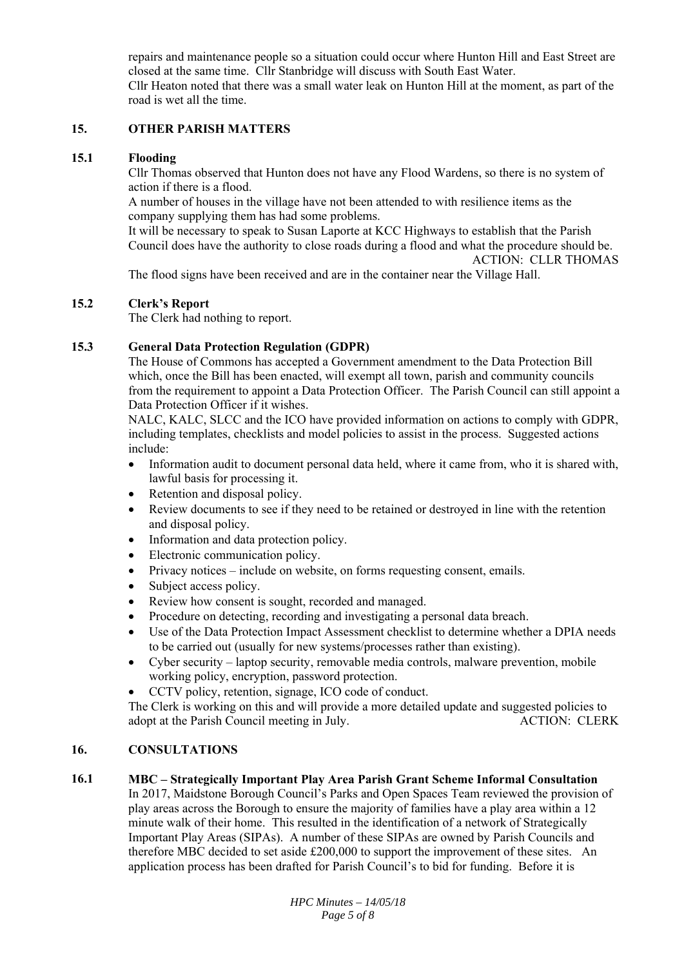repairs and maintenance people so a situation could occur where Hunton Hill and East Street are closed at the same time. Cllr Stanbridge will discuss with South East Water. Cllr Heaton noted that there was a small water leak on Hunton Hill at the moment, as part of the road is wet all the time.

#### **15. OTHER PARISH MATTERS**

#### **15.1 Flooding**

Cllr Thomas observed that Hunton does not have any Flood Wardens, so there is no system of action if there is a flood.

A number of houses in the village have not been attended to with resilience items as the company supplying them has had some problems.

It will be necessary to speak to Susan Laporte at KCC Highways to establish that the Parish Council does have the authority to close roads during a flood and what the procedure should be. ACTION: CLLR THOMAS

The flood signs have been received and are in the container near the Village Hall.

#### **15.2 Clerk's Report**

The Clerk had nothing to report.

#### **15.3 General Data Protection Regulation (GDPR)**

The House of Commons has accepted a Government amendment to the Data Protection Bill which, once the Bill has been enacted, will exempt all town, parish and community councils from the requirement to appoint a Data Protection Officer. The Parish Council can still appoint a Data Protection Officer if it wishes.

NALC, KALC, SLCC and the ICO have provided information on actions to comply with GDPR, including templates, checklists and model policies to assist in the process. Suggested actions include:

- Information audit to document personal data held, where it came from, who it is shared with, lawful basis for processing it.
- Retention and disposal policy.
- Review documents to see if they need to be retained or destroyed in line with the retention and disposal policy.
- Information and data protection policy.
- Electronic communication policy.
- Privacy notices include on website, on forms requesting consent, emails.
- Subject access policy.
- Review how consent is sought, recorded and managed.
- Procedure on detecting, recording and investigating a personal data breach.
- Use of the Data Protection Impact Assessment checklist to determine whether a DPIA needs to be carried out (usually for new systems/processes rather than existing).
- Cyber security laptop security, removable media controls, malware prevention, mobile working policy, encryption, password protection.
- CCTV policy, retention, signage, ICO code of conduct.

The Clerk is working on this and will provide a more detailed update and suggested policies to adopt at the Parish Council meeting in July. ACTION: CLERK

#### **16. CONSULTATIONS**

#### **16.1 MBC – Strategically Important Play Area Parish Grant Scheme Informal Consultation**

In 2017, Maidstone Borough Council's Parks and Open Spaces Team reviewed the provision of play areas across the Borough to ensure the majority of families have a play area within a 12 minute walk of their home. This resulted in the identification of a network of Strategically Important Play Areas (SIPAs). A number of these SIPAs are owned by Parish Councils and therefore MBC decided to set aside £200,000 to support the improvement of these sites. An application process has been drafted for Parish Council's to bid for funding. Before it is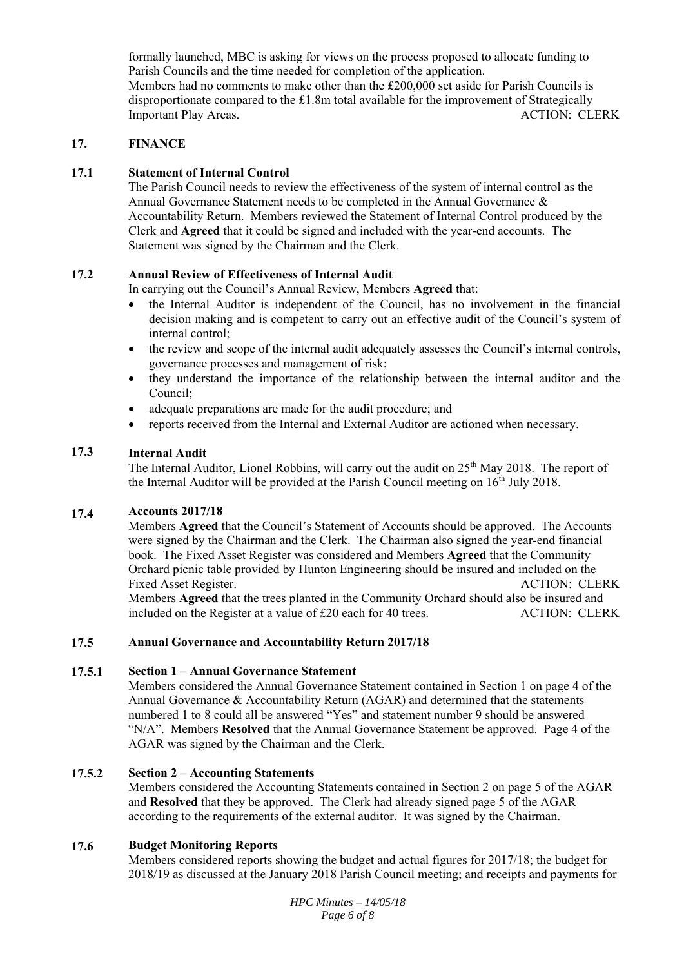formally launched, MBC is asking for views on the process proposed to allocate funding to Parish Councils and the time needed for completion of the application. Members had no comments to make other than the £200,000 set aside for Parish Councils is disproportionate compared to the £1.8m total available for the improvement of Strategically Important Play Areas. The Contract of the Contract of ACTION: CLERK

#### **17. FINANCE**

#### **17.1 Statement of Internal Control**

The Parish Council needs to review the effectiveness of the system of internal control as the Annual Governance Statement needs to be completed in the Annual Governance & Accountability Return. Members reviewed the Statement of Internal Control produced by the Clerk and **Agreed** that it could be signed and included with the year-end accounts. The Statement was signed by the Chairman and the Clerk.

#### **17.2 Annual Review of Effectiveness of Internal Audit**

In carrying out the Council's Annual Review, Members **Agreed** that:

- the Internal Auditor is independent of the Council, has no involvement in the financial decision making and is competent to carry out an effective audit of the Council's system of internal control;
- the review and scope of the internal audit adequately assesses the Council's internal controls, governance processes and management of risk;
- they understand the importance of the relationship between the internal auditor and the Council;
- adequate preparations are made for the audit procedure; and
- reports received from the Internal and External Auditor are actioned when necessary.

#### **17.3 Internal Audit**

The Internal Auditor, Lionel Robbins, will carry out the audit on 25<sup>th</sup> May 2018. The report of the Internal Auditor will be provided at the Parish Council meeting on  $16<sup>th</sup>$  July 2018.

#### **17.4 Accounts 2017/18**

Members **Agreed** that the Council's Statement of Accounts should be approved. The Accounts were signed by the Chairman and the Clerk. The Chairman also signed the year-end financial book. The Fixed Asset Register was considered and Members **Agreed** that the Community Orchard picnic table provided by Hunton Engineering should be insured and included on the Fixed Asset Register. The Second Second Second Second Second Second Second Second Second Second Second Second Second Second Second Second Second Second Second Second Second Second Second Second Second Second Second Second Members **Agreed** that the trees planted in the Community Orchard should also be insured and

included on the Register at a value of £20 each for 40 trees. ACTION: CLERK

#### **17.5 Annual Governance and Accountability Return 2017/18**

#### **17.5.1 Section 1 – Annual Governance Statement**

Members considered the Annual Governance Statement contained in Section 1 on page 4 of the Annual Governance & Accountability Return (AGAR) and determined that the statements numbered 1 to 8 could all be answered "Yes" and statement number 9 should be answered "N/A". Members **Resolved** that the Annual Governance Statement be approved. Page 4 of the AGAR was signed by the Chairman and the Clerk.

#### **17.5.2 Section 2 – Accounting Statements**

Members considered the Accounting Statements contained in Section 2 on page 5 of the AGAR and **Resolved** that they be approved. The Clerk had already signed page 5 of the AGAR according to the requirements of the external auditor. It was signed by the Chairman.

#### **17.6 Budget Monitoring Reports**

Members considered reports showing the budget and actual figures for 2017/18; the budget for 2018/19 as discussed at the January 2018 Parish Council meeting; and receipts and payments for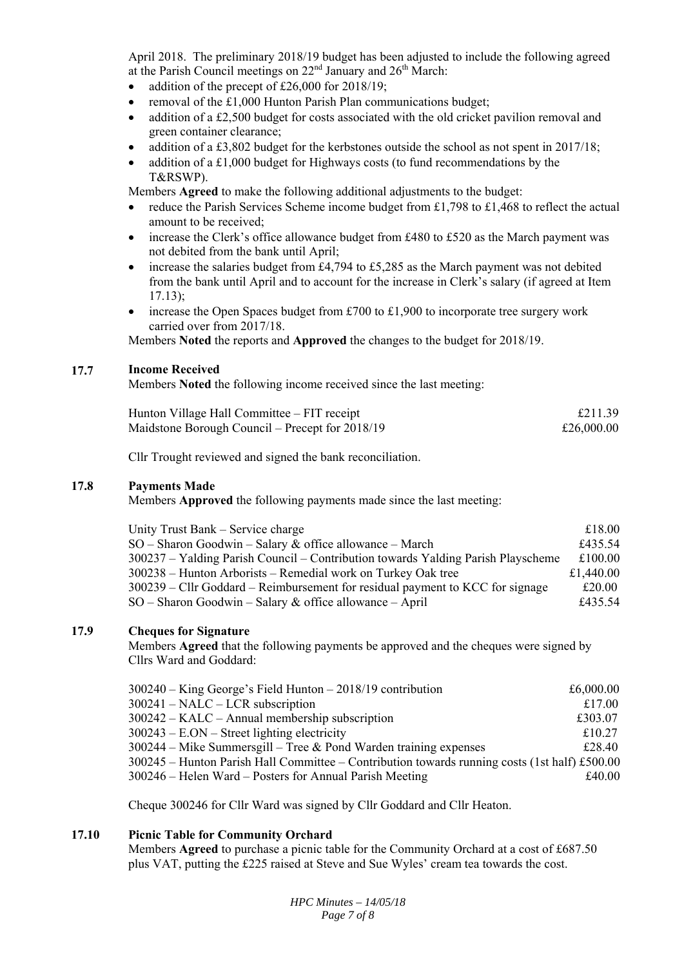April 2018. The preliminary 2018/19 budget has been adjusted to include the following agreed at the Parish Council meetings on  $22<sup>nd</sup>$  January and  $26<sup>th</sup>$  March:

- addition of the precept of £26,000 for 2018/19;
- removal of the £1,000 Hunton Parish Plan communications budget;
- addition of a £2,500 budget for costs associated with the old cricket pavilion removal and green container clearance;
- addition of a £3,802 budget for the kerbstones outside the school as not spent in 2017/18;
- addition of a £1,000 budget for Highways costs (to fund recommendations by the T&RSWP).

Members **Agreed** to make the following additional adjustments to the budget:

- reduce the Parish Services Scheme income budget from £1,798 to £1,468 to reflect the actual amount to be received;
- increase the Clerk's office allowance budget from £480 to £520 as the March payment was not debited from the bank until April;
- increase the salaries budget from £4,794 to £5,285 as the March payment was not debited from the bank until April and to account for the increase in Clerk's salary (if agreed at Item 17.13);
- increase the Open Spaces budget from £700 to £1,900 to incorporate tree surgery work carried over from 2017/18.

Members **Noted** the reports and **Approved** the changes to the budget for 2018/19.

#### **17.7 Income Received**

Members **Noted** the following income received since the last meeting:

| Hunton Village Hall Committee – FIT receipt     | £211.39    |
|-------------------------------------------------|------------|
| Maidstone Borough Council – Precept for 2018/19 | £26,000.00 |

Cllr Trought reviewed and signed the bank reconciliation.

#### **17.8 Payments Made**

Members **Approved** the following payments made since the last meeting:

| Unity Trust Bank – Service charge                                                | £18.00    |
|----------------------------------------------------------------------------------|-----------|
| $SO -$ Sharon Goodwin – Salary & office allowance – March                        | £435.54   |
| 300237 – Yalding Parish Council – Contribution towards Yalding Parish Playscheme | £100.00   |
| 300238 – Hunton Arborists – Remedial work on Turkey Oak tree                     | £1,440.00 |
| $300239$ – Cllr Goddard – Reimbursement for residual payment to KCC for signage  | £20.00    |
| $SO -$ Sharon Goodwin – Salary & office allowance – April                        | £435.54   |

#### **17.9 Cheques for Signature**

Members **Agreed** that the following payments be approved and the cheques were signed by Cllrs Ward and Goddard:

| $300240 -$ King George's Field Hunton $- 2018/19$ contribution                                | £6,000.00 |
|-----------------------------------------------------------------------------------------------|-----------|
| $300241$ – NALC – LCR subscription                                                            | £17.00    |
| 300242 - KALC - Annual membership subscription                                                | £303.07   |
| $300243 - E. ON - Street lighting electricity$                                                | £10.27    |
| $300244$ – Mike Summersgill – Tree & Pond Warden training expenses                            | £28.40    |
| 300245 - Hunton Parish Hall Committee - Contribution towards running costs (1st half) £500.00 |           |
| 300246 – Helen Ward – Posters for Annual Parish Meeting                                       | £40.00    |

Cheque 300246 for Cllr Ward was signed by Cllr Goddard and Cllr Heaton.

#### **17.10 Picnic Table for Community Orchard**

Members **Agreed** to purchase a picnic table for the Community Orchard at a cost of £687.50 plus VAT, putting the £225 raised at Steve and Sue Wyles' cream tea towards the cost.